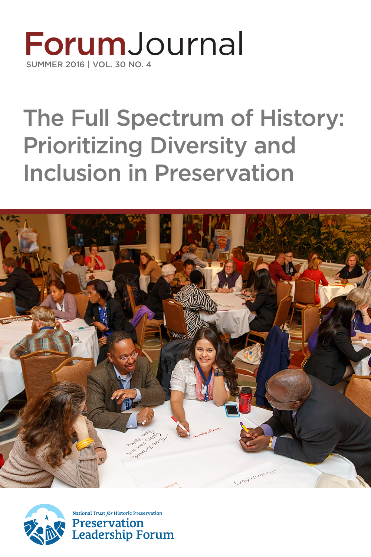## **ForumJournal** SUMMER 2016 | VOL. 30 NO. 4

# The Full Spectrum of History: Prioritizing Diversity and Inclusion in Preservation





National Trust for Historic Preservation **Preservation Leadership Forum**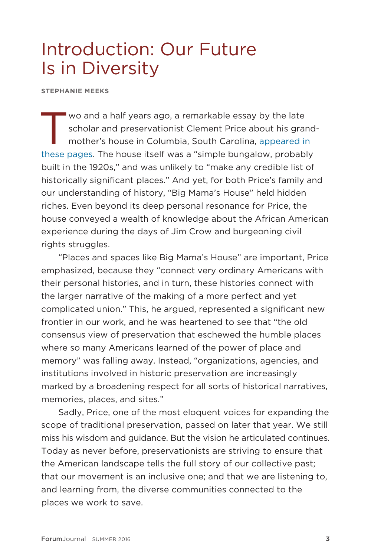### Introduction: Our Future Is in Diversity

**STEPHANIE MEEKS**

Wo and a half years ago, a remarkable essay by the late<br>scholar and preservationist Clement Price about his gram<br>mother's house in Columbia, South Carolina, appeared in scholar and preservationist Clement Price about his grandmother's house in Columbia, South Carolina, appeared in [these pages.](http://forum.savingplaces.org/connect/community-home/librarydocuments/viewdocument?DocumentKey=c3a48ec7-ed99-4017-81b2-4fa2154fede6&CommunityKey=00000000-0000-0000-0000-000000000000&tab=librarydocuments) The house itself was a "simple bungalow, probably built in the 1920s," and was unlikely to "make any credible list of historically significant places." And yet, for both Price's family and our understanding of history, "Big Mama's House" held hidden riches. Even beyond its deep personal resonance for Price, the house conveyed a wealth of knowledge about the African American experience during the days of Jim Crow and burgeoning civil rights struggles.

"Places and spaces like Big Mama's House" are important, Price emphasized, because they "connect very ordinary Americans with their personal histories, and in turn, these histories connect with the larger narrative of the making of a more perfect and yet complicated union." This, he argued, represented a significant new frontier in our work, and he was heartened to see that "the old consensus view of preservation that eschewed the humble places where so many Americans learned of the power of place and memory" was falling away. Instead, "organizations, agencies, and institutions involved in historic preservation are increasingly marked by a broadening respect for all sorts of historical narratives, memories, places, and sites."

Sadly, Price, one of the most eloquent voices for expanding the scope of traditional preservation, passed on later that year. We still miss his wisdom and guidance. But the vision he articulated continues. Today as never before, preservationists are striving to ensure that the American landscape tells the full story of our collective past; that our movement is an inclusive one; and that we are listening to, and learning from, the diverse communities connected to the places we work to save.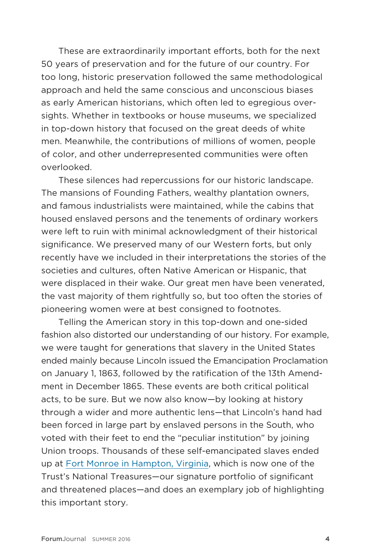These are extraordinarily important efforts, both for the next 50 years of preservation and for the future of our country. For too long, historic preservation followed the same methodological approach and held the same conscious and unconscious biases as early American historians, which often led to egregious oversights. Whether in textbooks or house museums, we specialized in top-down history that focused on the great deeds of white men. Meanwhile, the contributions of millions of women, people of color, and other underrepresented communities were often overlooked.

These silences had repercussions for our historic landscape. The mansions of Founding Fathers, wealthy plantation owners, and famous industrialists were maintained, while the cabins that housed enslaved persons and the tenements of ordinary workers were left to ruin with minimal acknowledgment of their historical significance. We preserved many of our Western forts, but only recently have we included in their interpretations the stories of the societies and cultures, often Native American or Hispanic, that were displaced in their wake. Our great men have been venerated, the vast majority of them rightfully so, but too often the stories of pioneering women were at best consigned to footnotes.

Telling the American story in this top-down and one-sided fashion also distorted our understanding of our history. For example, we were taught for generations that slavery in the United States ended mainly because Lincoln issued the Emancipation Proclamation on January 1, 1863, followed by the ratification of the 13th Amendment in December 1865. These events are both critical political acts, to be sure. But we now also know—by looking at history through a wider and more authentic lens—that Lincoln's hand had been forced in large part by enslaved persons in the South, who voted with their feet to end the "peculiar institution" by joining Union troops. Thousands of these self-emancipated slaves ended up at [Fort Monroe in Hampton, Virginia,](https://savingplaces.org/places/fort-monroe#.V73kh_krJph) which is now one of the Trust's National Treasures—our signature portfolio of significant and threatened places—and does an exemplary job of highlighting this important story.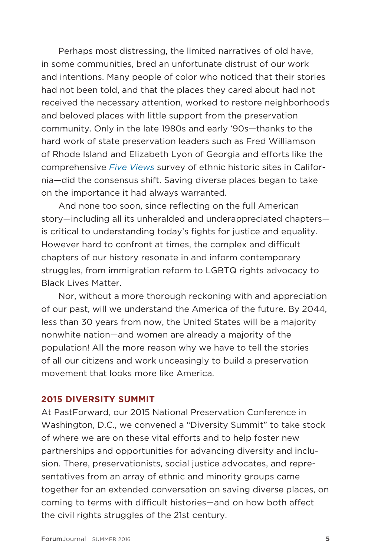Perhaps most distressing, the limited narratives of old have, in some communities, bred an unfortunate distrust of our work and intentions. Many people of color who noticed that their stories had not been told, and that the places they cared about had not received the necessary attention, worked to restore neighborhoods and beloved places with little support from the preservation community. Only in the late 1980s and early '90s—thanks to the hard work of state preservation leaders such as Fred Williamson of Rhode Island and Elizabeth Lyon of Georgia and efforts like the comprehensive *[Five Views](https://www.nps.gov/parkhistory/online_books/5views/5views.htm)* survey of ethnic historic sites in California—did the consensus shift. Saving diverse places began to take on the importance it had always warranted.

And none too soon, since reflecting on the full American story—including all its unheralded and underappreciated chapters is critical to understanding today's fights for justice and equality. However hard to confront at times, the complex and difficult chapters of our history resonate in and inform contemporary struggles, from immigration reform to LGBTQ rights advocacy to Black Lives Matter.

Nor, without a more thorough reckoning with and appreciation of our past, will we understand the America of the future. By 2044, less than 30 years from now, the United States will be a majority nonwhite nation—and women are already a majority of the population! All the more reason why we have to tell the stories of all our citizens and work unceasingly to build a preservation movement that looks more like America.

#### **2015 DIVERSITY SUMMIT**

At PastForward, our 2015 National Preservation Conference in Washington, D.C., we convened a "Diversity Summit" to take stock of where we are on these vital efforts and to help foster new partnerships and opportunities for advancing diversity and inclusion. There, preservationists, social justice advocates, and representatives from an array of ethnic and minority groups came together for an extended conversation on saving diverse places, on coming to terms with difficult histories—and on how both affect the civil rights struggles of the 21st century.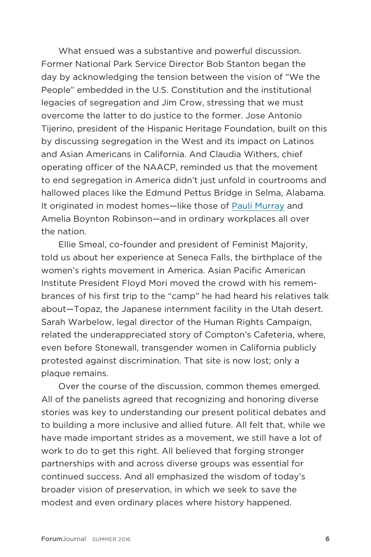What ensued was a substantive and powerful discussion. Former National Park Service Director Bob Stanton began the day by acknowledging the tension between the vision of "We the People" embedded in the U.S. Constitution and the institutional legacies of segregation and Jim Crow, stressing that we must overcome the latter to do justice to the former. Jose Antonio Tijerino, president of the Hispanic Heritage Foundation, built on this by discussing segregation in the West and its impact on Latinos and Asian Americans in California. And Claudia Withers, chief operating officer of the NAACP, reminded us that the movement to end segregation in America didn't just unfold in courtrooms and hallowed places like the Edmund Pettus Bridge in Selma, Alabama. It originated in modest homes—like those of [Pauli Murray](https://savingplaces.org/places/pauli-murray-house) and Amelia Boynton Robinson—and in ordinary workplaces all over the nation.

Ellie Smeal, co-founder and president of Feminist Majority, told us about her experience at Seneca Falls, the birthplace of the women's rights movement in America. Asian Pacific American Institute President Floyd Mori moved the crowd with his remembrances of his first trip to the "camp" he had heard his relatives talk about—Topaz, the Japanese internment facility in the Utah desert. Sarah Warbelow, legal director of the Human Rights Campaign, related the underappreciated story of Compton's Cafeteria, where, even before Stonewall, transgender women in California publicly protested against discrimination. That site is now lost; only a plaque remains.

Over the course of the discussion, common themes emerged. All of the panelists agreed that recognizing and honoring diverse stories was key to understanding our present political debates and to building a more inclusive and allied future. All felt that, while we have made important strides as a movement, we still have a lot of work to do to get this right. All believed that forging stronger partnerships with and across diverse groups was essential for continued success. And all emphasized the wisdom of today's broader vision of preservation, in which we seek to save the modest and even ordinary places where history happened.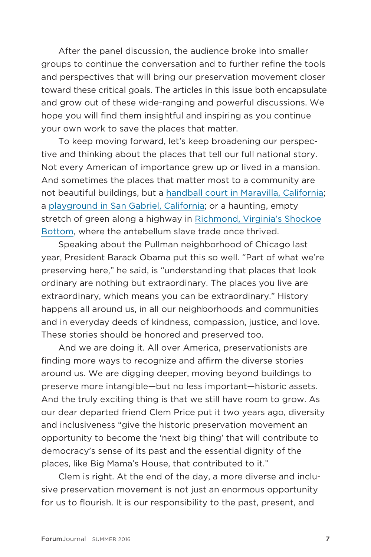After the panel discussion, the audience broke into smaller groups to continue the conversation and to further refine the tools and perspectives that will bring our preservation movement closer toward these critical goals. The articles in this issue both encapsulate and grow out of these wide-ranging and powerful discussions. We hope you will find them insightful and inspiring as you continue your own work to save the places that matter.

To keep moving forward, let's keep broadening our perspective and thinking about the places that tell our full national story. Not every American of importance grew up or lived in a mansion. And sometimes the places that matter most to a community are not beautiful buildings, but a [handball court in Maravilla, California;](http://forum.savingplaces.org/connect/community-home/librarydocuments/viewdocument?DocumentKey=a9b9aba9-8d82-4131-aaf7-3857198dab0a&CommunityKey=00000000-0000-0000-0000-000000000000&tab=librarydocuments) a [playground in San Gabriel, California](http://forum.savingplaces.org/connect/community-home/librarydocuments/viewdocument?DocumentKey=aa763bb4-b60f-47b0-a916-c8301a45e4c2&CommunityKey=00000000-0000-0000-0000-000000000000&tab=librarydocuments); or a haunting, empty stretch of green along a highway in [Richmond, Virginia's Shockoe](https://savingplaces.org/places/shockoe-bottom) [Bottom,](https://savingplaces.org/places/shockoe-bottom) where the antebellum slave trade once thrived.

Speaking about the Pullman neighborhood of Chicago last year, President Barack Obama put this so well. "Part of what we're preserving here," he said, is "understanding that places that look ordinary are nothing but extraordinary. The places you live are extraordinary, which means you can be extraordinary." History happens all around us, in all our neighborhoods and communities and in everyday deeds of kindness, compassion, justice, and love. These stories should be honored and preserved too.

And we are doing it. All over America, preservationists are finding more ways to recognize and affirm the diverse stories around us. We are digging deeper, moving beyond buildings to preserve more intangible—but no less important—historic assets. And the truly exciting thing is that we still have room to grow. As our dear departed friend Clem Price put it two years ago, diversity and inclusiveness "give the historic preservation movement an opportunity to become the 'next big thing' that will contribute to democracy's sense of its past and the essential dignity of the places, like Big Mama's House, that contributed to it."

Clem is right. At the end of the day, a more diverse and inclusive preservation movement is not just an enormous opportunity for us to flourish. It is our responsibility to the past, present, and